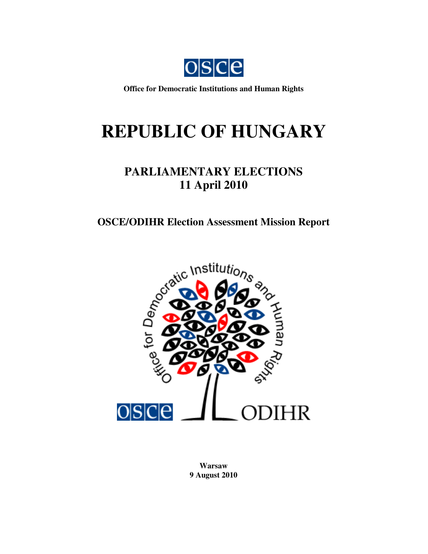

**Office for Democratic Institutions and Human Rights**

# **REPUBLIC OF HUNGARY**

# **PARLIAMENTARY ELECTIONS 11 April 2010**

# **OSCE/ODIHR Election Assessment Mission Report**



**Warsaw 9 August 2010**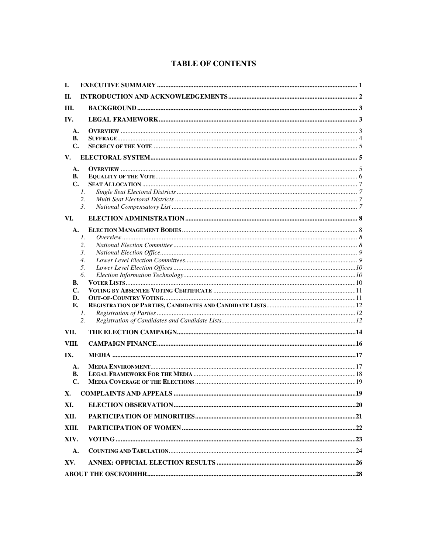# **TABLE OF CONTENTS**

| I.             |                                |     |
|----------------|--------------------------------|-----|
| П.             |                                |     |
| Ш.             |                                |     |
| IV.            |                                |     |
|                |                                |     |
| A.<br>В.       |                                |     |
| $\mathbf{C}$ . |                                |     |
| V.             |                                |     |
| A.             |                                |     |
| В.             |                                |     |
| $\mathbf{C}$ . |                                |     |
|                | $\mathcal{I}$ .                |     |
|                | 2.                             |     |
|                | 3.                             |     |
| VI.            |                                |     |
| A.             |                                |     |
|                | 1.                             |     |
|                | 2.                             |     |
|                | 3.                             |     |
|                | 4.                             |     |
|                | 5.<br>6.                       |     |
| В.             |                                |     |
| C.             |                                |     |
| D.             |                                |     |
| E.             |                                |     |
|                | 1.                             |     |
|                | 2.                             |     |
| VII.           |                                |     |
| VIII.          |                                |     |
| IX.            |                                |     |
| A.             |                                |     |
| В.             |                                |     |
| $\mathbf{C}$ . |                                |     |
| <b>X.</b>      | <b>COMPLAINTS AND APPEALS.</b> | .19 |
| XI.            |                                |     |
| XII.           |                                |     |
| XIII.          |                                |     |
| XIV.           |                                |     |
| A.             |                                |     |
| XV.            |                                |     |
|                |                                |     |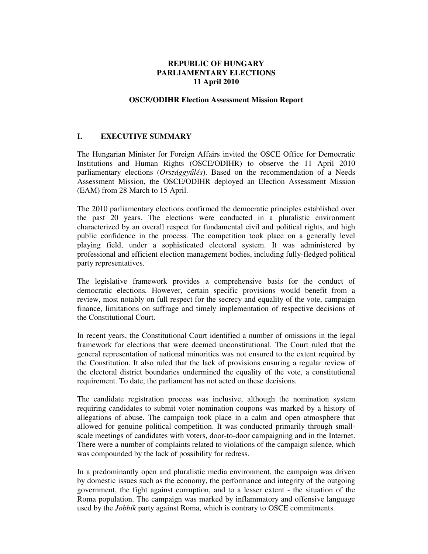#### **REPUBLIC OF HUNGARY PARLIAMENTARY ELECTIONS 11 April 2010**

#### **OSCE/ODIHR Election Assessment Mission Report**

#### **I. EXECUTIVE SUMMARY**

The Hungarian Minister for Foreign Affairs invited the OSCE Office for Democratic Institutions and Human Rights (OSCE/ODIHR) to observe the 11 April 2010 parliamentary elections (*Országgy*ű*lés*). Based on the recommendation of a Needs Assessment Mission, the OSCE/ODIHR deployed an Election Assessment Mission (EAM) from 28 March to 15 April.

The 2010 parliamentary elections confirmed the democratic principles established over the past 20 years. The elections were conducted in a pluralistic environment characterized by an overall respect for fundamental civil and political rights, and high public confidence in the process. The competition took place on a generally level playing field, under a sophisticated electoral system. It was administered by professional and efficient election management bodies, including fully-fledged political party representatives.

The legislative framework provides a comprehensive basis for the conduct of democratic elections. However, certain specific provisions would benefit from a review, most notably on full respect for the secrecy and equality of the vote, campaign finance, limitations on suffrage and timely implementation of respective decisions of the Constitutional Court.

In recent years, the Constitutional Court identified a number of omissions in the legal framework for elections that were deemed unconstitutional. The Court ruled that the general representation of national minorities was not ensured to the extent required by the Constitution. It also ruled that the lack of provisions ensuring a regular review of the electoral district boundaries undermined the equality of the vote, a constitutional requirement. To date, the parliament has not acted on these decisions.

The candidate registration process was inclusive, although the nomination system requiring candidates to submit voter nomination coupons was marked by a history of allegations of abuse. The campaign took place in a calm and open atmosphere that allowed for genuine political competition. It was conducted primarily through smallscale meetings of candidates with voters, door-to-door campaigning and in the Internet. There were a number of complaints related to violations of the campaign silence, which was compounded by the lack of possibility for redress.

In a predominantly open and pluralistic media environment, the campaign was driven by domestic issues such as the economy, the performance and integrity of the outgoing government, the fight against corruption, and to a lesser extent - the situation of the Roma population. The campaign was marked by inflammatory and offensive language used by the *Jobbik* party against Roma, which is contrary to OSCE commitments.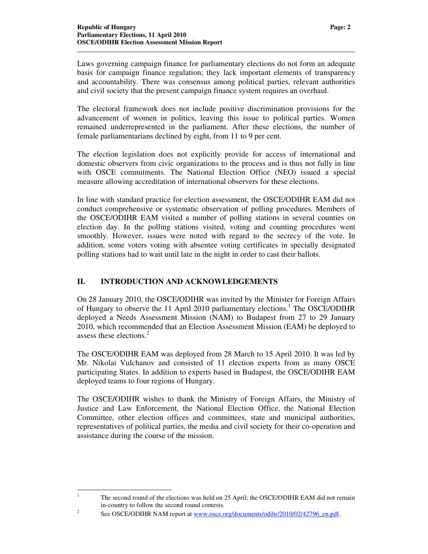Laws governing campaign finance for parliamentary elections do not form an adequate basis for campaign finance regulation; they lack important elements of transparency and accountability. There was consensus among political parties, relevant authorities and civil society that the present campaign finance system requires an overhaul.

The electoral framework does not include positive discrimination provisions for the advancement of women in politics, leaving this issue to political parties. Women remained underrepresented in the parliament. After these elections, the number of female parliamentarians declined by eight, from 11 to 9 per cent.

The election legislation does not explicitly provide for access of international and domestic observers from civic organizations to the process and is thus not fully in line with OSCE commitments. The National Election Office (NEO) issued a special measure allowing accreditation of international observers for these elections.

In line with standard practice for election assessment, the OSCE/ODIHR EAM did not conduct comprehensive or systematic observation of polling procedures. Members of the OSCE/ODIHR EAM visited a number of polling stations in several counties on election day. In the polling stations visited, voting and counting procedures went smoothly. However, issues were noted with regard to the secrecy of the vote. In addition, some voters voting with absentee voting certificates in specially designated polling stations had to wait until late in the night in order to cast their ballots.

# **II. INTRODUCTION AND ACKNOWLEDGEMENTS**

On 28 January 2010, the OSCE/ODIHR was invited by the Minister for Foreign Affairs of Hungary to observe the 11 April 2010 parliamentary elections.<sup>1</sup> The OSCE/ODIHR deployed a Needs Assessment Mission (NAM) to Budapest from 27 to 29 January 2010, which recommended that an Election Assessment Mission (EAM) be deployed to assess these elections. $<sup>2</sup>$ </sup>

The OSCE/ODIHR EAM was deployed from 28 March to 15 April 2010. It was led by Mr. Nikolai Vulchanov and consisted of 11 election experts from as many OSCE participating States. In addition to experts based in Budapest, the OSCE/ODIHR EAM deployed teams to four regions of Hungary.

The OSCE/ODIHR wishes to thank the Ministry of Foreign Affairs, the Ministry of Justice and Law Enforcement, the National Election Office, the National Election Committee, other election offices and committees, state and municipal authorities, representatives of political parties, the media and civil society for their co-operation and assistance during the course of the mission.

<sup>|&</sup>lt;br>|<br>| The second round of the elections was held on 25 April; the OSCE/ODIHR EAM did not remain in-country to follow the second round contests.

<sup>2</sup> See OSCE/ODIHR NAM report at www.osce.org/documents/odihr/2010/02/42796\_en.pdf.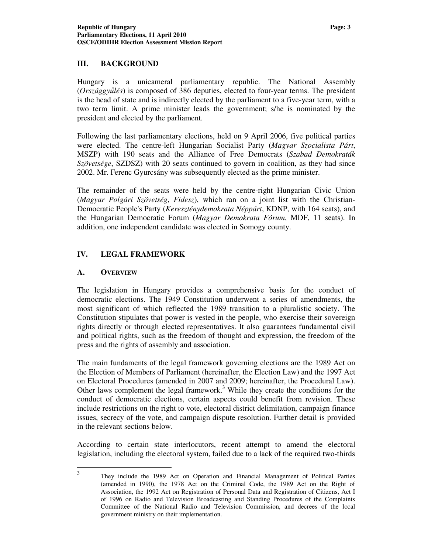## **III. BACKGROUND**

Hungary is a unicameral parliamentary republic. The National Assembly (*Országgy*ű*lés*) is composed of 386 deputies, elected to four-year terms. The president is the head of state and is indirectly elected by the parliament to a five-year term, with a two term limit. A prime minister leads the government; s/he is nominated by the president and elected by the parliament.

Following the last parliamentary elections, held on 9 April 2006, five political parties were elected. The centre-left Hungarian Socialist Party (*Magyar Szocialista Párt*, MSZP) with 190 seats and the Alliance of Free Democrats (*Szabad Demokraták Szövetsége*, SZDSZ) with 20 seats continued to govern in coalition, as they had since 2002. Mr. Ferenc Gyurcsány was subsequently elected as the prime minister.

The remainder of the seats were held by the centre-right Hungarian Civic Union (*Magyar Polgári Szövetség*, *Fidesz*), which ran on a joint list with the Christian-Democratic People's Party (*Kereszténydemokrata Néppárt*, KDNP, with 164 seats), and the Hungarian Democratic Forum (*Magyar Demokrata Fórum*, MDF, 11 seats). In addition, one independent candidate was elected in Somogy county.

# **IV. LEGAL FRAMEWORK**

#### **A. OVERVIEW**

The legislation in Hungary provides a comprehensive basis for the conduct of democratic elections. The 1949 Constitution underwent a series of amendments, the most significant of which reflected the 1989 transition to a pluralistic society. The Constitution stipulates that power is vested in the people, who exercise their sovereign rights directly or through elected representatives. It also guarantees fundamental civil and political rights, such as the freedom of thought and expression, the freedom of the press and the rights of assembly and association.

The main fundaments of the legal framework governing elections are the 1989 Act on the Election of Members of Parliament (hereinafter, the Election Law) and the 1997 Act on Electoral Procedures (amended in 2007 and 2009; hereinafter, the Procedural Law). Other laws complement the legal framework.<sup>3</sup> While they create the conditions for the conduct of democratic elections, certain aspects could benefit from revision. These include restrictions on the right to vote, electoral district delimitation, campaign finance issues, secrecy of the vote, and campaign dispute resolution. Further detail is provided in the relevant sections below.

According to certain state interlocutors, recent attempt to amend the electoral legislation, including the electoral system, failed due to a lack of the required two-thirds

 3 They include the 1989 Act on Operation and Financial Management of Political Parties (amended in 1990), the 1978 Act on the Criminal Code, the 1989 Act on the Right of Association, the 1992 Act on Registration of Personal Data and Registration of Citizens, Act I of 1996 on Radio and Television Broadcasting and Standing Procedures of the Complaints Committee of the National Radio and Television Commission, and decrees of the local government ministry on their implementation.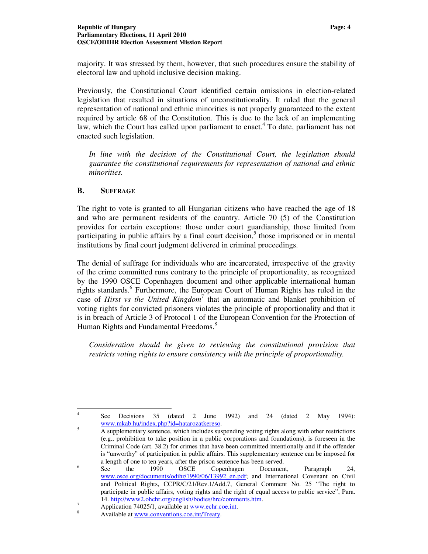majority. It was stressed by them, however, that such procedures ensure the stability of electoral law and uphold inclusive decision making.

Previously, the Constitutional Court identified certain omissions in election-related legislation that resulted in situations of unconstitutionality. It ruled that the general representation of national and ethnic minorities is not properly guaranteed to the extent required by article 68 of the Constitution. This is due to the lack of an implementing law, which the Court has called upon parliament to enact.<sup>4</sup> To date, parliament has not enacted such legislation.

In line with the decision of the Constitutional Court, the legislation should *guarantee the constitutional requirements for representation of national and ethnic minorities.* 

#### **B. SUFFRAGE**

The right to vote is granted to all Hungarian citizens who have reached the age of 18 and who are permanent residents of the country. Article 70 (5) of the Constitution provides for certain exceptions: those under court guardianship, those limited from participating in public affairs by a final court decision,<sup>5</sup> those imprisoned or in mental institutions by final court judgment delivered in criminal proceedings.

The denial of suffrage for individuals who are incarcerated, irrespective of the gravity of the crime committed runs contrary to the principle of proportionality, as recognized by the 1990 OSCE Copenhagen document and other applicable international human rights standards.<sup>6</sup> Furthermore, the European Court of Human Rights has ruled in the case of *Hirst vs the United Kingdom*<sup>7</sup> that an automatic and blanket prohibition of voting rights for convicted prisoners violates the principle of proportionality and that it is in breach of Article 3 of Protocol 1 of the European Convention for the Protection of Human Rights and Fundamental Freedoms.<sup>8</sup>

*Consideration should be given to reviewing the constitutional provision that restricts voting rights to ensure consistency with the principle of proportionality.* 

 $\frac{1}{4}$  See Decisions 35 (dated 2 June 1992) and 24 (dated 2 May 1994): www.mkab.hu/index.php?id=hatarozatkereso. 5

A supplementary sentence, which includes suspending voting rights along with other restrictions (e.g., prohibition to take position in a public corporations and foundations), is foreseen in the Criminal Code (art. 38.2) for crimes that have been committed intentionally and if the offender is "unworthy" of participation in public affairs. This supplementary sentence can be imposed for a length of one to ten years, after the prison sentence has been served. 6

See the 1990 OSCE Copenhagen Document, Paragraph 24, www.osce.org/documents/odihr/1990/06/13992\_en.pdf; and International Covenant on Civil and Political Rights, CCPR/C/21/Rev.1/Add.7, General Comment No. 25 "The right to participate in public affairs, voting rights and the right of equal access to public service", Para. 14. http://www2.ohchr.org/english/bodies/hrc/comments.htm.

<sup>7</sup> Application 74025/1, available at www.echr.coe.int.

<sup>8</sup> Available at www.conventions.coe.int/Treaty.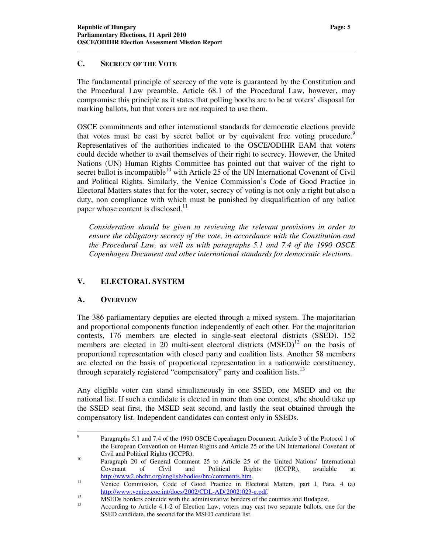#### **C. SECRECY OF THE VOTE**

The fundamental principle of secrecy of the vote is guaranteed by the Constitution and the Procedural Law preamble. Article 68.1 of the Procedural Law, however, may compromise this principle as it states that polling booths are to be at voters' disposal for marking ballots, but that voters are not required to use them.

OSCE commitments and other international standards for democratic elections provide that votes must be cast by secret ballot or by equivalent free voting procedure.<sup>9</sup> Representatives of the authorities indicated to the OSCE/ODIHR EAM that voters could decide whether to avail themselves of their right to secrecy. However, the United Nations (UN) Human Rights Committee has pointed out that waiver of the right to secret ballot is incompatible<sup>10</sup> with Article 25 of the UN International Covenant of Civil and Political Rights. Similarly, the Venice Commission's Code of Good Practice in Electoral Matters states that for the voter, secrecy of voting is not only a right but also a duty, non compliance with which must be punished by disqualification of any ballot paper whose content is disclosed.<sup>11</sup>

*Consideration should be given to reviewing the relevant provisions in order to ensure the obligatory secrecy of the vote, in accordance with the Constitution and the Procedural Law, as well as with paragraphs 5.1 and 7.4 of the 1990 OSCE Copenhagen Document and other international standards for democratic elections.* 

# **V. ELECTORAL SYSTEM**

# **A. OVERVIEW**

The 386 parliamentary deputies are elected through a mixed system. The majoritarian and proportional components function independently of each other. For the majoritarian contests, 176 members are elected in single-seat electoral districts (SSED). 152 members are elected in 20 multi-seat electoral districts  $(MSED)^{12}$  on the basis of proportional representation with closed party and coalition lists. Another 58 members are elected on the basis of proportional representation in a nationwide constituency, through separately registered "compensatory" party and coalition lists.<sup>13</sup>

Any eligible voter can stand simultaneously in one SSED, one MSED and on the national list. If such a candidate is elected in more than one contest, s/he should take up the SSED seat first, the MSED seat second, and lastly the seat obtained through the compensatory list. Independent candidates can contest only in SSEDs.

 $\overline{a}$ 9 Paragraphs 5.1 and 7.4 of the 1990 OSCE Copenhagen Document, Article 3 of the Protocol 1 of the European Convention on Human Rights and Article 25 of the UN International Covenant of Civil and Political Rights (ICCPR).

<sup>&</sup>lt;sup>10</sup> Paragraph 20 of General Comment 25 to Article 25 of the United Nations' International Covenant of Civil and Political Rights (ICCPR), available at http://www2.ohchr.org/english/bodies/hrc/comments.htm.

<sup>11</sup> Venice Commission, Code of Good Practice in Electoral Matters, part I, Para. 4 (a) http://www.venice.coe.int/docs/2002/CDL-AD(2002)023-e.pdf.

<sup>12</sup> MSEDs borders coincide with the administrative borders of the counties and Budapest.

<sup>13</sup> According to Article 4.1-2 of Election Law, voters may cast two separate ballots, one for the SSED candidate, the second for the MSED candidate list.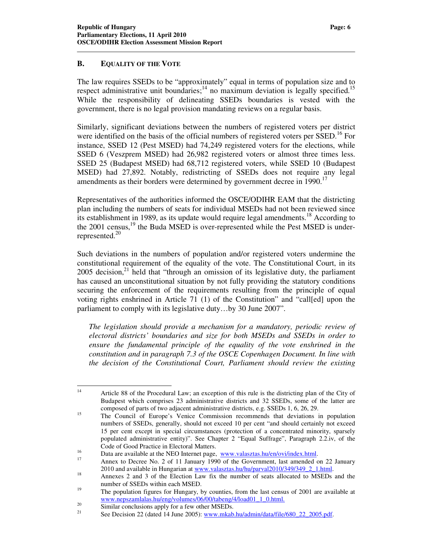#### **B. EQUALITY OF THE VOTE**

The law requires SSEDs to be "approximately" equal in terms of population size and to respect administrative unit boundaries;<sup>14</sup> no maximum deviation is legally specified.<sup>15</sup> While the responsibility of delineating SSEDs boundaries is vested with the government, there is no legal provision mandating reviews on a regular basis.

Similarly, significant deviations between the numbers of registered voters per district were identified on the basis of the official numbers of registered voters per SSED.<sup>16</sup> For instance, SSED 12 (Pest MSED) had 74,249 registered voters for the elections, while SSED 6 (Veszprem MSED) had 26,982 registered voters or almost three times less. SSED 25 (Budapest MSED) had 68,712 registered voters, while SSED 10 (Budapest MSED) had 27,892. Notably, redistricting of SSEDs does not require any legal amendments as their borders were determined by government decree in  $1990$ .<sup>17</sup>

Representatives of the authorities informed the OSCE/ODIHR EAM that the districting plan including the numbers of seats for individual MSEDs had not been reviewed since its establishment in 1989, as its update would require legal amendments.<sup>18</sup> According to the  $2001$  census,  $^{19}$  the Buda MSED is over-represented while the Pest MSED is underrepresented. $^{20}$ 

Such deviations in the numbers of population and/or registered voters undermine the constitutional requirement of the equality of the vote. The Constitutional Court, in its 2005 decision, $^{21}$  held that "through an omission of its legislative duty, the parliament has caused an unconstitutional situation by not fully providing the statutory conditions securing the enforcement of the requirements resulting from the principle of equal voting rights enshrined in Article 71 (1) of the Constitution" and "call[ed] upon the parliament to comply with its legislative duty…by 30 June 2007".

*The legislation should provide a mechanism for a mandatory, periodic review of electoral districts' boundaries and size for both MSEDs and SSEDs in order to ensure the fundamental principle of the equality of the vote enshrined in the constitution and in paragraph 7.3 of the OSCE Copenhagen Document. In line with the decision of the Constitutional Court, Parliament should review the existing* 

 $14$ <sup>14</sup> Article 88 of the Procedural Law; an exception of this rule is the districting plan of the City of Budapest which comprises 23 administrative districts and 32 SSEDs, some of the latter are composed of parts of two adjacent administrative districts, e.g. SSEDs 1, 6, 26, 29.

<sup>&</sup>lt;sup>15</sup> The Council of Europe's Venice Commission recommends that deviations in population numbers of SSEDs, generally, should not exceed 10 per cent "and should certainly not exceed 15 per cent except in special circumstances (protection of a concentrated minority, sparsely populated administrative entity)". See Chapter 2 "Equal Suffrage", Paragraph 2.2.iv, of the Code of Good Practice in Electoral Matters.

<sup>&</sup>lt;sup>16</sup> Data are available at the NEO Internet page,  $\frac{www.valasztas.hu/en/ovi/index.html}{www.valasztas.hu/en/ovi/index.html}$ .

Annex to Decree No. 2 of 11 January 1990 of the Government, last amended on 22 January 2010 and available in Hungarian at www.valasztas.hu/hu/parval2010/349/349\_2\_1.html.

<sup>&</sup>lt;sup>18</sup> Annexes 2 and 3 of the Election Law fix the number of seats allocated to MSEDs and the number of SSEDs within each MSED.

<sup>&</sup>lt;sup>19</sup> The population figures for Hungary, by counties, from the last census of 2001 are available at www.nepszamlalas.hu/eng/volumes/06/00/tabeng/4/load01\_1\_0.html.

 $\frac{20}{20}$  Similar conclusions apply for a few other MSEDs.<br> $\frac{21}{20}$  See Decision 22 (dated 14 June 2005) www.mlsology

See Decision 22 (dated 14 June 2005): www.mkab.hu/admin/data/file/680\_22\_2005.pdf.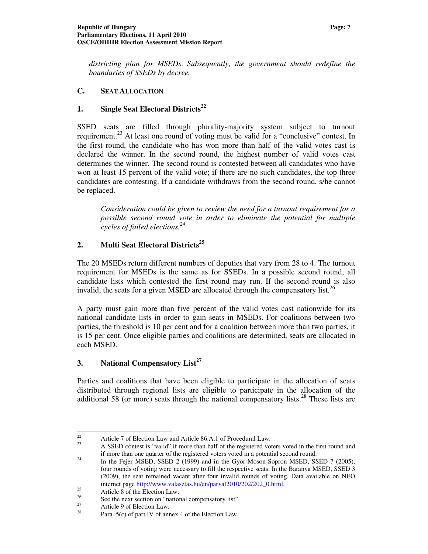*districting plan for MSEDs. Subsequently, the government should redefine the boundaries of SSEDs by decree.* 

#### **C. SEAT ALLOCATION**

# **1. Single Seat Electoral Districts<sup>22</sup>**

SSED seats are filled through plurality-majority system subject to turnout requirement.<sup>23</sup> At least one round of voting must be valid for a "conclusive" contest. In the first round, the candidate who has won more than half of the valid votes cast is declared the winner. In the second round, the highest number of valid votes cast determines the winner. The second round is contested between all candidates who have won at least 15 percent of the valid vote; if there are no such candidates, the top three candidates are contesting. If a candidate withdraws from the second round, s/he cannot be replaced.

*Consideration could be given to review the need for a turnout requirement for a possible second round vote in order to eliminate the potential for multiple cycles of failed elections.<sup>24</sup>*

# **2. Multi Seat Electoral Districts<sup>25</sup>**

The 20 MSEDs return different numbers of deputies that vary from 28 to 4. The turnout requirement for MSEDs is the same as for SSEDs. In a possible second round, all candidate lists which contested the first round may run. If the second round is also invalid, the seats for a given MSED are allocated through the compensatory list.<sup>26</sup>

A party must gain more than five percent of the valid votes cast nationwide for its national candidate lists in order to gain seats in MSEDs. For coalitions between two parties, the threshold is 10 per cent and for a coalition between more than two parties, it is 15 per cent. Once eligible parties and coalitions are determined, seats are allocated in each MSED.

# **3. National Compensatory List<sup>27</sup>**

Parties and coalitions that have been eligible to participate in the allocation of seats distributed through regional lists are eligible to participate in the allocation of the additional 58 (or more) seats through the national compensatory lists.<sup>28</sup> These lists are

<sup>22</sup> 22 Article 7 of Election Law and Article 86.A.1 of Procedural Law.

<sup>23</sup> A SSED contest is "valid" if more than half of the registered voters voted in the first round and if more than one quarter of the registered voters voted in a potential second round.

<sup>&</sup>lt;sup>24</sup> In the Fejer MSED, SSED 2 (1999) and in the Győr-Moson-Sopron MSED, SSED 7 (2005), four rounds of voting were necessary to fill the respective seats. In the Baranya MSED, SSED 3 (2009), the seat remained vacant after four invalid rounds of voting. Data available on NEO internet page http://www.valasztas.hu/en/parval2010/202/202\_0.html.

 $25$ <br>26 Article 8 of the Election Law.

<sup>&</sup>lt;sup>26</sup> See the next section on "national compensatory list".

<sup>&</sup>lt;sup>27</sup> Article 9 of Election Law.<br><sup>28</sup> Pers. 5(c) of pert IV of any

Para.  $5(c)$  of part IV of annex 4 of the Election Law.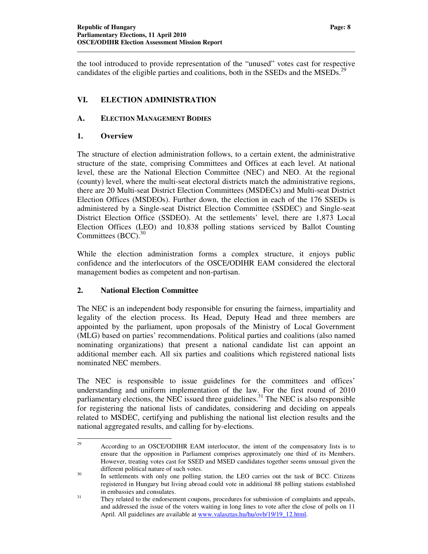the tool introduced to provide representation of the "unused" votes cast for respective candidates of the eligible parties and coalitions, both in the SSEDs and the MSEDs.<sup>29</sup>

# **VI. ELECTION ADMINISTRATION**

# **A. ELECTION MANAGEMENT BODIES**

# **1. Overview**

The structure of election administration follows, to a certain extent, the administrative structure of the state, comprising Committees and Offices at each level. At national level, these are the National Election Committee (NEC) and NEO. At the regional (county) level, where the multi-seat electoral districts match the administrative regions, there are 20 Multi-seat District Election Committees (MSDECs) and Multi-seat District Election Offices (MSDEOs). Further down, the election in each of the 176 SSEDs is administered by a Single-seat District Election Committee (SSDEC) and Single-seat District Election Office (SSDEO). At the settlements' level, there are 1,873 Local Election Offices (LEO) and 10,838 polling stations serviced by Ballot Counting Committees  $(BCC)$ .<sup>30</sup>

While the election administration forms a complex structure, it enjoys public confidence and the interlocutors of the OSCE/ODIHR EAM considered the electoral management bodies as competent and non-partisan.

# **2. National Election Committee**

The NEC is an independent body responsible for ensuring the fairness, impartiality and legality of the election process. Its Head, Deputy Head and three members are appointed by the parliament, upon proposals of the Ministry of Local Government (MLG) based on parties' recommendations. Political parties and coalitions (also named nominating organizations) that present a national candidate list can appoint an additional member each. All six parties and coalitions which registered national lists nominated NEC members.

The NEC is responsible to issue guidelines for the committees and offices' understanding and uniform implementation of the law. For the first round of 2010 parliamentary elections, the NEC issued three guidelines.<sup>31</sup> The NEC is also responsible for registering the national lists of candidates, considering and deciding on appeals related to MSDEC, certifying and publishing the national list election results and the national aggregated results, and calling for by-elections.

<sup>29</sup> <sup>29</sup> According to an OSCE/ODIHR EAM interlocutor, the intent of the compensatory lists is to ensure that the opposition in Parliament comprises approximately one third of its Members. However, treating votes cast for SSED and MSED candidates together seems unusual given the different political nature of such votes.

<sup>&</sup>lt;sup>30</sup> In settlements with only one polling station, the LEO carries out the task of BCC. Citizens registered in Hungary but living abroad could vote in additional 88 polling stations established in embassies and consulates.

<sup>&</sup>lt;sup>31</sup> They related to the endorsement coupons, procedures for submission of complaints and appeals, and addressed the issue of the voters waiting in long lines to vote after the close of polls on 11 April. All guidelines are available at www.valasztas.hu/hu/ovb/19/19\_12.html.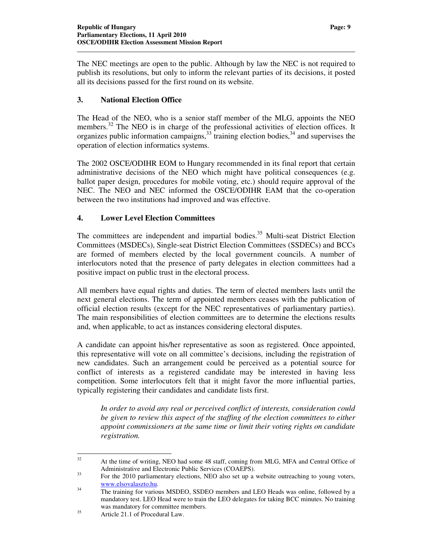The NEC meetings are open to the public. Although by law the NEC is not required to publish its resolutions, but only to inform the relevant parties of its decisions, it posted all its decisions passed for the first round on its website.

# **3. National Election Office**

The Head of the NEO, who is a senior staff member of the MLG, appoints the NEO members.<sup>32</sup> The NEO is in charge of the professional activities of election offices. It organizes public information campaigns,  $33 \text{ training}$  election bodies,  $34 \text{ and supervises}$  the operation of election informatics systems.

The 2002 OSCE/ODIHR EOM to Hungary recommended in its final report that certain administrative decisions of the NEO which might have political consequences (e.g. ballot paper design, procedures for mobile voting, etc.) should require approval of the NEC. The NEO and NEC informed the OSCE/ODIHR EAM that the co-operation between the two institutions had improved and was effective.

#### **4. Lower Level Election Committees**

The committees are independent and impartial bodies.<sup>35</sup> Multi-seat District Election Committees (MSDECs), Single-seat District Election Committees (SSDECs) and BCCs are formed of members elected by the local government councils. A number of interlocutors noted that the presence of party delegates in election committees had a positive impact on public trust in the electoral process.

All members have equal rights and duties. The term of elected members lasts until the next general elections. The term of appointed members ceases with the publication of official election results (except for the NEC representatives of parliamentary parties). The main responsibilities of election committees are to determine the elections results and, when applicable, to act as instances considering electoral disputes.

A candidate can appoint his/her representative as soon as registered. Once appointed, this representative will vote on all committee's decisions, including the registration of new candidates. Such an arrangement could be perceived as a potential source for conflict of interests as a registered candidate may be interested in having less competition. Some interlocutors felt that it might favor the more influential parties, typically registering their candidates and candidate lists first.

*In order to avoid any real or perceived conflict of interests, consideration could be given to review this aspect of the staffing of the election committees to either appoint commissioners at the same time or limit their voting rights on candidate registration.* 

 $\overline{a}$ 

<sup>&</sup>lt;sup>32</sup> At the time of writing, NEO had some 48 staff, coming from MLG, MFA and Central Office of Administrative and Electronic Public Services (COAEPS).

<sup>&</sup>lt;sup>33</sup> For the 2010 parliamentary elections, NEO also set up a website outreaching to young voters, www.elsovalaszto.hu.

<sup>&</sup>lt;sup>34</sup> The training for various MSDEO, SSDEO members and LEO Heads was online, followed by a mandatory test. LEO Head were to train the LEO delegates for taking BCC minutes. No training was mandatory for committee members.

<sup>35</sup> Article 21.1 of Procedural Law.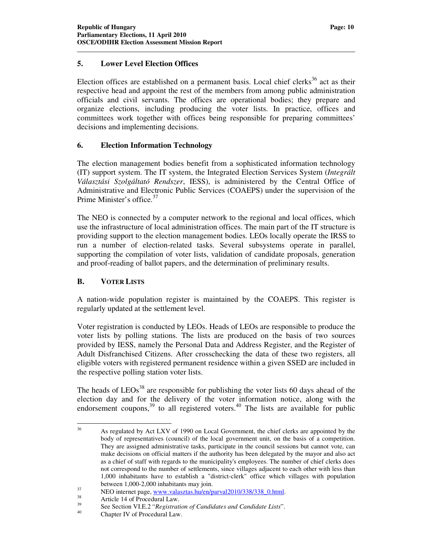## **5. Lower Level Election Offices**

Election offices are established on a permanent basis. Local chief clerks<sup>36</sup> act as their respective head and appoint the rest of the members from among public administration officials and civil servants. The offices are operational bodies; they prepare and organize elections, including producing the voter lists. In practice, offices and committees work together with offices being responsible for preparing committees' decisions and implementing decisions.

#### **6. Election Information Technology**

The election management bodies benefit from a sophisticated information technology (IT) support system. The IT system, the Integrated Election Services System (*Integrált Választási Szolgáltató Rendszer*, IESS), is administered by the Central Office of Administrative and Electronic Public Services (COAEPS) under the supervision of the Prime Minister's office.<sup>37</sup>

The NEO is connected by a computer network to the regional and local offices, which use the infrastructure of local administration offices. The main part of the IT structure is providing support to the election management bodies. LEOs locally operate the IRSS to run a number of election-related tasks. Several subsystems operate in parallel, supporting the compilation of voter lists, validation of candidate proposals, generation and proof-reading of ballot papers, and the determination of preliminary results.

# **B. VOTER LISTS**

A nation-wide population register is maintained by the COAEPS. This register is regularly updated at the settlement level.

Voter registration is conducted by LEOs. Heads of LEOs are responsible to produce the voter lists by polling stations. The lists are produced on the basis of two sources provided by IESS, namely the Personal Data and Address Register, and the Register of Adult Disfranchised Citizens. After crosschecking the data of these two registers, all eligible voters with registered permanent residence within a given SSED are included in the respective polling station voter lists.

The heads of  $LEOs<sup>38</sup>$  are responsible for publishing the voter lists 60 days ahead of the election day and for the delivery of the voter information notice, along with the endorsement coupons,  $39$  to all registered voters. <sup>40</sup> The lists are available for public

 $36$ As regulated by Act LXV of 1990 on Local Government, the chief clerks are appointed by the body of representatives (council) of the local government unit, on the basis of a competition. They are assigned administrative tasks, participate in the council sessions but cannot vote, can make decisions on official matters if the authority has been delegated by the mayor and also act as a chief of staff with regards to the municipality's employees. The number of chief clerks does not correspond to the number of settlements, since villages adjacent to each other with less than 1,000 inhabitants have to establish a "district-clerk" office which villages with population between 1,000-2,000 inhabitants may join.

<sup>&</sup>lt;sup>37</sup> NEO internet page, www.valasztas.hu/en/parval2010/338/338\_0.html.

 $3^3$  Article 14 of Procedural Law.

<sup>39</sup> See Section VI.E.2 "*Registration of Candidates and Candidate Lists*".

Chapter IV of Procedural Law.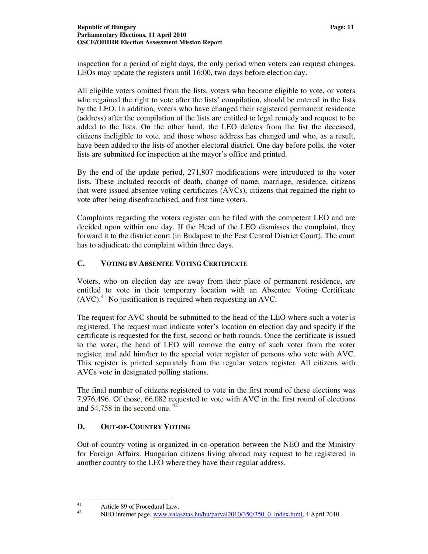inspection for a period of eight days, the only period when voters can request changes. LEOs may update the registers until 16:00, two days before election day.

All eligible voters omitted from the lists, voters who become eligible to vote, or voters who regained the right to vote after the lists' compilation, should be entered in the lists by the LEO. In addition, voters who have changed their registered permanent residence (address) after the compilation of the lists are entitled to legal remedy and request to be added to the lists. On the other hand, the LEO deletes from the list the deceased, citizens ineligible to vote, and those whose address has changed and who, as a result, have been added to the lists of another electoral district. One day before polls, the voter lists are submitted for inspection at the mayor's office and printed.

By the end of the update period, 271,807 modifications were introduced to the voter lists. These included records of death, change of name, marriage, residence, citizens that were issued absentee voting certificates (AVCs), citizens that regained the right to vote after being disenfranchised, and first time voters.

Complaints regarding the voters register can be filed with the competent LEO and are decided upon within one day. If the Head of the LEO dismisses the complaint, they forward it to the district court (in Budapest to the Pest Central District Court). The court has to adjudicate the complaint within three days.

# **C. VOTING BY ABSENTEE VOTING CERTIFICATE**

Voters, who on election day are away from their place of permanent residence, are entitled to vote in their temporary location with an Absentee Voting Certificate  $(AVC)<sup>41</sup>$  No justification is required when requesting an AVC.

The request for AVC should be submitted to the head of the LEO where such a voter is registered. The request must indicate voter's location on election day and specify if the certificate is requested for the first, second or both rounds. Once the certificate is issued to the voter, the head of LEO will remove the entry of such voter from the voter register, and add him/her to the special voter register of persons who vote with AVC. This register is printed separately from the regular voters register. All citizens with AVCs vote in designated polling stations.

The final number of citizens registered to vote in the first round of these elections was 7,976,496. Of those, 66,082 requested to vote with AVC in the first round of elections and 54,758 in the second one.  $42$ 

# **D. OUT-OF-COUNTRY VOTING**

Out-of-country voting is organized in co-operation between the NEO and the Ministry for Foreign Affairs. Hungarian citizens living abroad may request to be registered in another country to the LEO where they have their regular address.

 $41$  $41$  Article 89 of Procedural Law.

NEO internet page, www.valasztas.hu/hu/parval2010/350/350\_0\_index.html, 4 April 2010.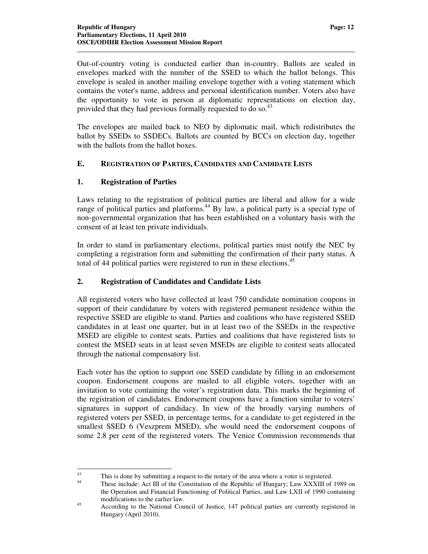Out-of-country voting is conducted earlier than in-country. Ballots are sealed in envelopes marked with the number of the SSED to which the ballot belongs. This envelope is sealed in another mailing envelope together with a voting statement which contains the voter's name, address and personal identification number. Voters also have the opportunity to vote in person at diplomatic representations on election day, provided that they had previous formally requested to do so.<sup>43</sup>

The envelopes are mailed back to NEO by diplomatic mail, which redistributes the ballot by SSEDs to SSDECs. Ballots are counted by BCCs on election day, together with the ballots from the ballot boxes.

#### **E. REGISTRATION OF PARTIES, CANDIDATES AND CANDIDATE LISTS**

#### **1. Registration of Parties**

Laws relating to the registration of political parties are liberal and allow for a wide range of political parties and platforms.<sup>44</sup> By law, a political party is a special type of non-governmental organization that has been established on a voluntary basis with the consent of at least ten private individuals.

In order to stand in parliamentary elections, political parties must notify the NEC by completing a registration form and submitting the confirmation of their party status. A total of 44 political parties were registered to run in these elections.<sup>45</sup>

#### **2. Registration of Candidates and Candidate Lists**

All registered voters who have collected at least 750 candidate nomination coupons in support of their candidature by voters with registered permanent residence within the respective SSED are eligible to stand. Parties and coalitions who have registered SSED candidates in at least one quarter, but in at least two of the SSEDs in the respective MSED are eligible to contest seats. Parties and coalitions that have registered lists to contest the MSED seats in at least seven MSEDs are eligible to contest seats allocated through the national compensatory list.

Each voter has the option to support one SSED candidate by filling in an endorsement coupon. Endorsement coupons are mailed to all eligible voters, together with an invitation to vote containing the voter's registration data. This marks the beginning of the registration of candidates. Endorsement coupons have a function similar to voters' signatures in support of candidacy. In view of the broadly varying numbers of registered voters per SSED, in percentage terms, for a candidate to get registered in the smallest SSED 6 (Veszprem MSED), s/he would need the endorsement coupons of some 2.8 per cent of the registered voters. The Venice Commission recommends that

<sup>43</sup> <sup>43</sup><br>This is done by submitting a request to the notary of the area where a voter is registered.<br>These include: Act III of the Constitution of the Penublic of Hungary: Law XXXIII of

These include: Act III of the Constitution of the Republic of Hungary; Law XXXIII of 1989 on the Operation and Financial Functioning of Political Parties, and Law LXII of 1990 containing modifications to the earlier law.

<sup>45</sup> According to the National Council of Justice, 147 political parties are currently registered in Hungary (April 2010).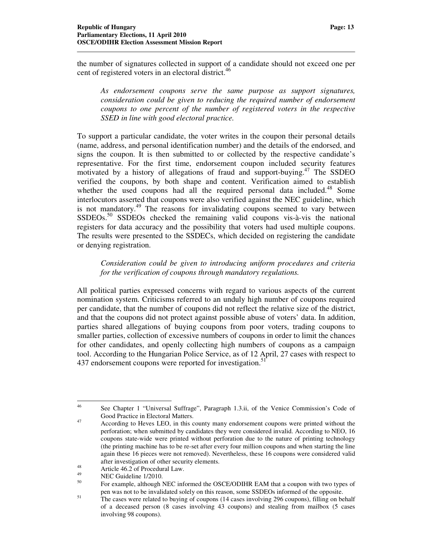the number of signatures collected in support of a candidate should not exceed one per cent of registered voters in an electoral district.<sup>46</sup>

*As endorsement coupons serve the same purpose as support signatures, consideration could be given to reducing the required number of endorsement coupons to one percent of the number of registered voters in the respective SSED in line with good electoral practice.* 

To support a particular candidate, the voter writes in the coupon their personal details (name, address, and personal identification number) and the details of the endorsed, and signs the coupon. It is then submitted to or collected by the respective candidate's representative. For the first time, endorsement coupon included security features motivated by a history of allegations of fraud and support-buying.<sup>47</sup> The SSDEO verified the coupons, by both shape and content. Verification aimed to establish whether the used coupons had all the required personal data included.<sup>48</sup> Some interlocutors asserted that coupons were also verified against the NEC guideline, which is not mandatory.<sup>49</sup> The reasons for invalidating coupons seemed to vary between  $SSDEOs.<sup>50</sup>$  SSDEOs checked the remaining valid coupons vis-à-vis the national registers for data accuracy and the possibility that voters had used multiple coupons. The results were presented to the SSDECs, which decided on registering the candidate or denying registration.

*Consideration could be given to introducing uniform procedures and criteria for the verification of coupons through mandatory regulations.* 

All political parties expressed concerns with regard to various aspects of the current nomination system. Criticisms referred to an unduly high number of coupons required per candidate, that the number of coupons did not reflect the relative size of the district, and that the coupons did not protect against possible abuse of voters' data. In addition, parties shared allegations of buying coupons from poor voters, trading coupons to smaller parties, collection of excessive numbers of coupons in order to limit the chances for other candidates, and openly collecting high numbers of coupons as a campaign tool. According to the Hungarian Police Service, as of 12 April, 27 cases with respect to 437 endorsement coupons were reported for investigation.<sup>51</sup>

<sup>46</sup> <sup>46</sup> See Chapter 1 "Universal Suffrage", Paragraph 1.3.ii, of the Venice Commission's Code of Good Practice in Electoral Matters.

<sup>47</sup> According to Heves LEO, in this county many endorsement coupons were printed without the perforation; when submitted by candidates they were considered invalid. According to NEO, 16 coupons state-wide were printed without perforation due to the nature of printing technology (the printing machine has to be re-set after every four million coupons and when starting the line again these 16 pieces were not removed). Nevertheless, these 16 coupons were considered valid after investigation of other security elements.

<sup>48</sup> Article 46.2 of Procedural Law.

 $^{49}$  NEC Guideline 1/2010.

<sup>50</sup> For example, although NEC informed the OSCE/ODIHR EAM that a coupon with two types of pen was not to be invalidated solely on this reason, some SSDEOs informed of the opposite.

<sup>&</sup>lt;sup>51</sup> The cases were related to buying of coupons (14 cases involving 296 coupons), filling on behalf of a deceased person (8 cases involving 43 coupons) and stealing from mailbox (5 cases involving 98 coupons).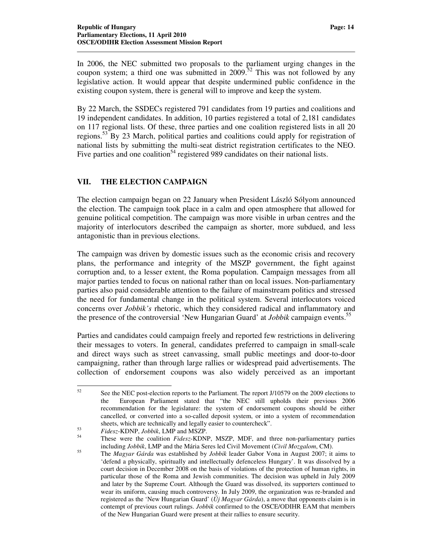In 2006, the NEC submitted two proposals to the parliament urging changes in the coupon system; a third one was submitted in 2009.<sup>52</sup> This was not followed by any legislative action. It would appear that despite undermined public confidence in the existing coupon system, there is general will to improve and keep the system.

By 22 March, the SSDECs registered 791 candidates from 19 parties and coalitions and 19 independent candidates. In addition, 10 parties registered a total of 2,181 candidates on 117 regional lists. Of these, three parties and one coalition registered lists in all 20 regions.<sup>53</sup> By 23 March, political parties and coalitions could apply for registration of national lists by submitting the multi-seat district registration certificates to the NEO. Five parties and one coalition<sup>54</sup> registered 989 candidates on their national lists.

#### **VII. THE ELECTION CAMPAIGN**

The election campaign began on 22 January when President László Sólyom announced the election. The campaign took place in a calm and open atmosphere that allowed for genuine political competition. The campaign was more visible in urban centres and the majority of interlocutors described the campaign as shorter, more subdued, and less antagonistic than in previous elections.

The campaign was driven by domestic issues such as the economic crisis and recovery plans, the performance and integrity of the MSZP government, the fight against corruption and, to a lesser extent, the Roma population. Campaign messages from all major parties tended to focus on national rather than on local issues. Non-parliamentary parties also paid considerable attention to the failure of mainstream politics and stressed the need for fundamental change in the political system. Several interlocutors voiced concerns over *Jobbik's* rhetoric, which they considered radical and inflammatory and the presence of the controversial 'New Hungarian Guard' at *Jobbik* campaign events.<sup>55</sup>

Parties and candidates could campaign freely and reported few restrictions in delivering their messages to voters. In general, candidates preferred to campaign in small-scale and direct ways such as street canvassing, small public meetings and door-to-door campaigning, rather than through large rallies or widespread paid advertisements. The collection of endorsement coupons was also widely perceived as an important

<sup>52</sup> See the NEC post-election reports to the Parliament. The report J/10579 on the 2009 elections to the European Parliament stated that "the NEC still upholds their previous 2006 recommendation for the legislature: the system of endorsement coupons should be either cancelled, or converted into a so-called deposit system, or into a system of recommendation sheets, which are technically and legally easier to countercheck".

<sup>53</sup> *Fidesz*-KDNP, *Jobbik*, LMP and MSZP.

<sup>54</sup> These were the coalition *Fidesz*-KDNP, MSZP, MDF, and three non-parliamentary parties including *Jobbik*, LMP and the Mária Seres led Civil Movement (*Civil Mozgalom*, CM).

<sup>55</sup> The *Magyar Gárda* was established by *Jobbik* leader Gabor Vona in August 2007; it aims to 'defend a physically, spiritually and intellectually defenceless Hungary'. It was dissolved by a court decision in December 2008 on the basis of violations of the protection of human rights, in particular those of the Roma and Jewish communities. The decision was upheld in July 2009 and later by the Supreme Court. Although the Guard was dissolved, its supporters continued to wear its uniform, causing much controversy. In July 2009, the organization was re-branded and registered as the 'New Hungarian Guard' (*Új Magyar Gárda*), a move that opponents claim is in contempt of previous court rulings. *Jobbik* confirmed to the OSCE/ODIHR EAM that members of the New Hungarian Guard were present at their rallies to ensure security.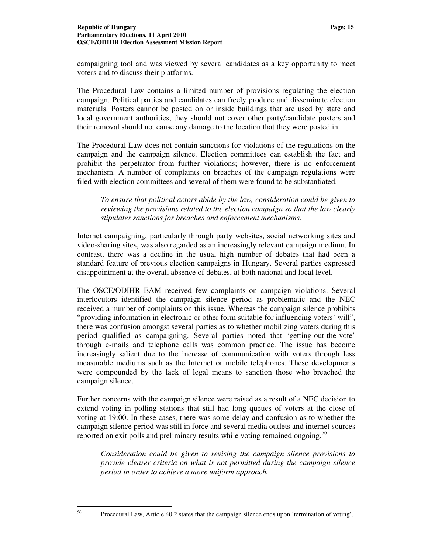campaigning tool and was viewed by several candidates as a key opportunity to meet voters and to discuss their platforms.

The Procedural Law contains a limited number of provisions regulating the election campaign. Political parties and candidates can freely produce and disseminate election materials. Posters cannot be posted on or inside buildings that are used by state and local government authorities, they should not cover other party/candidate posters and their removal should not cause any damage to the location that they were posted in.

The Procedural Law does not contain sanctions for violations of the regulations on the campaign and the campaign silence. Election committees can establish the fact and prohibit the perpetrator from further violations; however, there is no enforcement mechanism. A number of complaints on breaches of the campaign regulations were filed with election committees and several of them were found to be substantiated.

*To ensure that political actors abide by the law, consideration could be given to reviewing the provisions related to the election campaign so that the law clearly stipulates sanctions for breaches and enforcement mechanisms.* 

Internet campaigning, particularly through party websites, social networking sites and video-sharing sites, was also regarded as an increasingly relevant campaign medium. In contrast, there was a decline in the usual high number of debates that had been a standard feature of previous election campaigns in Hungary. Several parties expressed disappointment at the overall absence of debates, at both national and local level.

The OSCE/ODIHR EAM received few complaints on campaign violations. Several interlocutors identified the campaign silence period as problematic and the NEC received a number of complaints on this issue. Whereas the campaign silence prohibits "providing information in electronic or other form suitable for influencing voters' will", there was confusion amongst several parties as to whether mobilizing voters during this period qualified as campaigning. Several parties noted that 'getting-out-the-vote' through e-mails and telephone calls was common practice. The issue has become increasingly salient due to the increase of communication with voters through less measurable mediums such as the Internet or mobile telephones. These developments were compounded by the lack of legal means to sanction those who breached the campaign silence.

Further concerns with the campaign silence were raised as a result of a NEC decision to extend voting in polling stations that still had long queues of voters at the close of voting at 19:00. In these cases, there was some delay and confusion as to whether the campaign silence period was still in force and several media outlets and internet sources reported on exit polls and preliminary results while voting remained ongoing.<sup>56</sup>

*Consideration could be given to revising the campaign silence provisions to provide clearer criteria on what is not permitted during the campaign silence period in order to achieve a more uniform approach.*

56

<sup>56</sup> Procedural Law, Article 40.2 states that the campaign silence ends upon 'termination of voting'.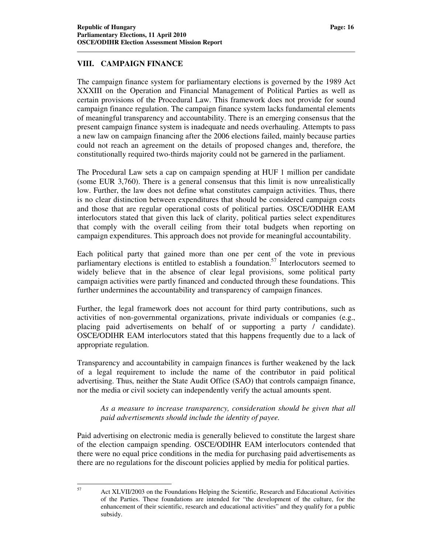#### **VIII. CAMPAIGN FINANCE**

The campaign finance system for parliamentary elections is governed by the 1989 Act XXXIII on the Operation and Financial Management of Political Parties as well as certain provisions of the Procedural Law. This framework does not provide for sound campaign finance regulation. The campaign finance system lacks fundamental elements of meaningful transparency and accountability. There is an emerging consensus that the present campaign finance system is inadequate and needs overhauling. Attempts to pass a new law on campaign financing after the 2006 elections failed, mainly because parties could not reach an agreement on the details of proposed changes and, therefore, the constitutionally required two-thirds majority could not be garnered in the parliament.

The Procedural Law sets a cap on campaign spending at HUF 1 million per candidate (some EUR 3,760). There is a general consensus that this limit is now unrealistically low. Further, the law does not define what constitutes campaign activities. Thus, there is no clear distinction between expenditures that should be considered campaign costs and those that are regular operational costs of political parties. OSCE/ODIHR EAM interlocutors stated that given this lack of clarity, political parties select expenditures that comply with the overall ceiling from their total budgets when reporting on campaign expenditures. This approach does not provide for meaningful accountability.

Each political party that gained more than one per cent of the vote in previous parliamentary elections is entitled to establish a foundation.<sup>57</sup> Interlocutors seemed to widely believe that in the absence of clear legal provisions, some political party campaign activities were partly financed and conducted through these foundations. This further undermines the accountability and transparency of campaign finances.

Further, the legal framework does not account for third party contributions, such as activities of non-governmental organizations, private individuals or companies (e.g., placing paid advertisements on behalf of or supporting a party / candidate). OSCE/ODIHR EAM interlocutors stated that this happens frequently due to a lack of appropriate regulation.

Transparency and accountability in campaign finances is further weakened by the lack of a legal requirement to include the name of the contributor in paid political advertising. Thus, neither the State Audit Office (SAO) that controls campaign finance, nor the media or civil society can independently verify the actual amounts spent.

*As a measure to increase transparency, consideration should be given that all paid advertisements should include the identity of payee.* 

Paid advertising on electronic media is generally believed to constitute the largest share of the election campaign spending. OSCE/ODIHR EAM interlocutors contended that there were no equal price conditions in the media for purchasing paid advertisements as there are no regulations for the discount policies applied by media for political parties.

57

<sup>57</sup> Act XLVII/2003 on the Foundations Helping the Scientific, Research and Educational Activities of the Parties. These foundations are intended for "the development of the culture, for the enhancement of their scientific, research and educational activities" and they qualify for a public subsidy.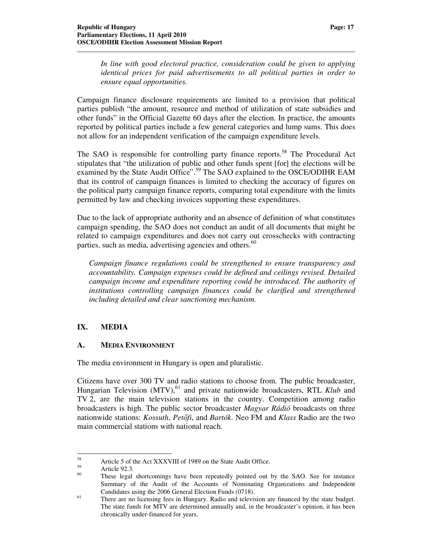*In line with good electoral practice, consideration could be given to applying identical prices for paid advertisements to all political parties in order to ensure equal opportunities.* 

Campaign finance disclosure requirements are limited to a provision that political parties publish "the amount, resource and method of utilization of state subsidies and other funds" in the Official Gazette 60 days after the election. In practice, the amounts reported by political parties include a few general categories and lump sums. This does not allow for an independent verification of the campaign expenditure levels.

The SAO is responsible for controlling party finance reports.<sup>58</sup> The Procedural Act stipulates that "the utilization of public and other funds spent [for] the elections will be examined by the State Audit Office".<sup>59</sup> The SAO explained to the OSCE/ODIHR EAM that its control of campaign finances is limited to checking the accuracy of figures on the political party campaign finance reports, comparing total expenditure with the limits permitted by law and checking invoices supporting these expenditures.

Due to the lack of appropriate authority and an absence of definition of what constitutes campaign spending, the SAO does not conduct an audit of all documents that might be related to campaign expenditures and does not carry out crosschecks with contracting parties, such as media, advertising agencies and others.<sup>60</sup>

*Campaign finance regulations could be strengthened to ensure transparency and accountability. Campaign expenses could be defined and ceilings revised. Detailed campaign income and expenditure reporting could be introduced. The authority of institutions controlling campaign finances could be clarified and strengthened including detailed and clear sanctioning mechanism.*

# **IX. MEDIA**

#### **A. MEDIA ENVIRONMENT**

The media environment in Hungary is open and pluralistic.

Citizens have over 300 TV and radio stations to choose from. The public broadcaster, Hungarian Television (MTV),<sup>61</sup> and private nationwide broadcasters, RTL Klub and TV 2, are the main television stations in the country. Competition among radio broadcasters is high. The public sector broadcaster *Magyar Rádió* broadcasts on three nationwide stations: *Kossuth*, *Pet*ő*fi*, and *Bartók*. Neo FM and *Klass* Radio are the two main commercial stations with national reach.

 $\overline{a}$ 

<sup>&</sup>lt;sup>58</sup><br>Article 5 of the Act XXXVIII of 1989 on the State Audit Office.

 $59$  Article 92.3.

These legal shortcomings have been repeatedly pointed out by the SAO. See for instance Summary of the Audit of the Accounts of Nominating Organizations and Independent Candidates using the 2006 General Election Funds (0718).

<sup>&</sup>lt;sup>61</sup> There are no licensing fees in Hungary. Radio and television are financed by the state budget. The state funds for MTV are determined annually and, in the broadcaster's opinion, it has been chronically under-financed for years.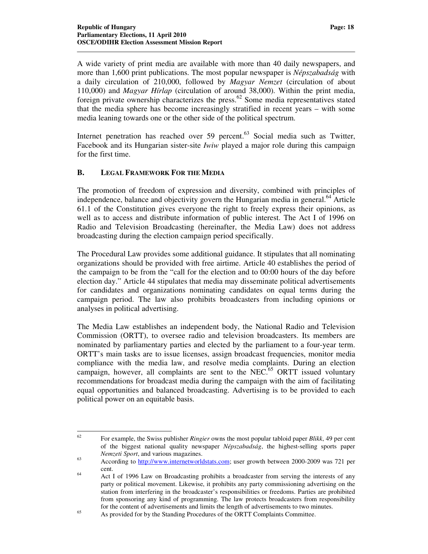A wide variety of print media are available with more than 40 daily newspapers, and more than 1,600 print publications. The most popular newspaper is *Népszabadság* with a daily circulation of 210,000, followed by *Magyar Nemzet* (circulation of about 110,000) and *Magyar Hírlap* (circulation of around 38,000). Within the print media, foreign private ownership characterizes the press.<sup>62</sup> Some media representatives stated that the media sphere has become increasingly stratified in recent years – with some media leaning towards one or the other side of the political spectrum.

Internet penetration has reached over  $59$  percent.<sup>63</sup> Social media such as Twitter, Facebook and its Hungarian sister-site *Iwiw* played a major role during this campaign for the first time.

#### **B. LEGAL FRAMEWORK FOR THE MEDIA**

The promotion of freedom of expression and diversity, combined with principles of independence, balance and objectivity govern the Hungarian media in general.<sup>64</sup> Article 61.1 of the Constitution gives everyone the right to freely express their opinions, as well as to access and distribute information of public interest. The Act I of 1996 on Radio and Television Broadcasting (hereinafter, the Media Law) does not address broadcasting during the election campaign period specifically.

The Procedural Law provides some additional guidance. It stipulates that all nominating organizations should be provided with free airtime. Article 40 establishes the period of the campaign to be from the "call for the election and to 00:00 hours of the day before election day." Article 44 stipulates that media may disseminate political advertisements for candidates and organizations nominating candidates on equal terms during the campaign period. The law also prohibits broadcasters from including opinions or analyses in political advertising.

The Media Law establishes an independent body, the National Radio and Television Commission (ORTT), to oversee radio and television broadcasters. Its members are nominated by parliamentary parties and elected by the parliament to a four-year term. ORTT's main tasks are to issue licenses, assign broadcast frequencies, monitor media compliance with the media law, and resolve media complaints. During an election campaign, however, all complaints are sent to the NEC.<sup>65</sup> ORTT issued voluntary recommendations for broadcast media during the campaign with the aim of facilitating equal opportunities and balanced broadcasting. Advertising is to be provided to each political power on an equitable basis.

<sup>62</sup> <sup>62</sup> For example, the Swiss publisher *Ringier* owns the most popular tabloid paper *Blikk*, 49 per cent of the biggest national quality newspaper *Népszabadság*, the highest-selling sports paper *Nemzeti Sport*, and various magazines.

<sup>&</sup>lt;sup>63</sup> According to http://www.internetworldstats.com; user growth between 2000-2009 was 721 per cent.

<sup>&</sup>lt;sup>64</sup> Act I of 1996 Law on Broadcasting prohibits a broadcaster from serving the interests of any party or political movement. Likewise, it prohibits any party commissioning advertising on the station from interfering in the broadcaster's responsibilities or freedoms. Parties are prohibited from sponsoring any kind of programming. The law protects broadcasters from responsibility for the content of advertisements and limits the length of advertisements to two minutes.

<sup>&</sup>lt;sup>65</sup> As provided for by the Standing Procedures of the ORTT Complaints Committee.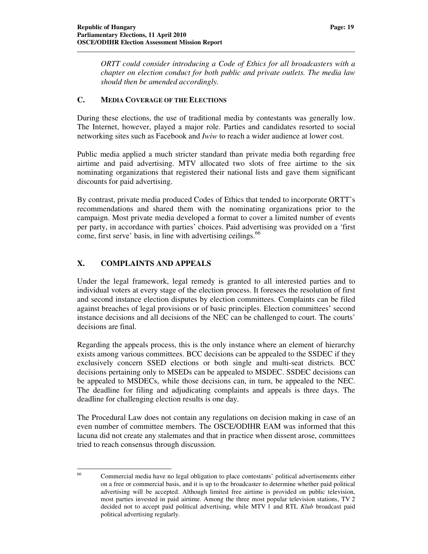*ORTT could consider introducing a Code of Ethics for all broadcasters with a chapter on election conduct for both public and private outlets. The media law should then be amended accordingly.* 

#### **C. MEDIA COVERAGE OF THE ELECTIONS**

During these elections, the use of traditional media by contestants was generally low. The Internet, however, played a major role. Parties and candidates resorted to social networking sites such as Facebook and *Iwiw* to reach a wider audience at lower cost.

Public media applied a much stricter standard than private media both regarding free airtime and paid advertising. MTV allocated two slots of free airtime to the six nominating organizations that registered their national lists and gave them significant discounts for paid advertising.

By contrast, private media produced Codes of Ethics that tended to incorporate ORTT's recommendations and shared them with the nominating organizations prior to the campaign. Most private media developed a format to cover a limited number of events per party, in accordance with parties' choices. Paid advertising was provided on a 'first come, first serve' basis, in line with advertising ceilings.<sup>66</sup>

# **X. COMPLAINTS AND APPEALS**

Under the legal framework, legal remedy is granted to all interested parties and to individual voters at every stage of the election process. It foresees the resolution of first and second instance election disputes by election committees. Complaints can be filed against breaches of legal provisions or of basic principles. Election committees' second instance decisions and all decisions of the NEC can be challenged to court. The courts' decisions are final.

Regarding the appeals process, this is the only instance where an element of hierarchy exists among various committees. BCC decisions can be appealed to the SSDEC if they exclusively concern SSED elections or both single and multi-seat districts. BCC decisions pertaining only to MSEDs can be appealed to MSDEC. SSDEC decisions can be appealed to MSDECs, while those decisions can, in turn, be appealed to the NEC. The deadline for filing and adjudicating complaints and appeals is three days. The deadline for challenging election results is one day.

The Procedural Law does not contain any regulations on decision making in case of an even number of committee members. The OSCE/ODIHR EAM was informed that this lacuna did not create any stalemates and that in practice when dissent arose, committees tried to reach consensus through discussion.

<sup>66</sup> <sup>66</sup> Commercial media have no legal obligation to place contestants' political advertisements either on a free or commercial basis, and it is up to the broadcaster to determine whether paid political advertising will be accepted. Although limited free airtime is provided on public television, most parties invested in paid airtime. Among the three most popular television stations, TV 2 decided not to accept paid political advertising, while MTV 1 and RTL *Klub* broadcast paid political advertising regularly.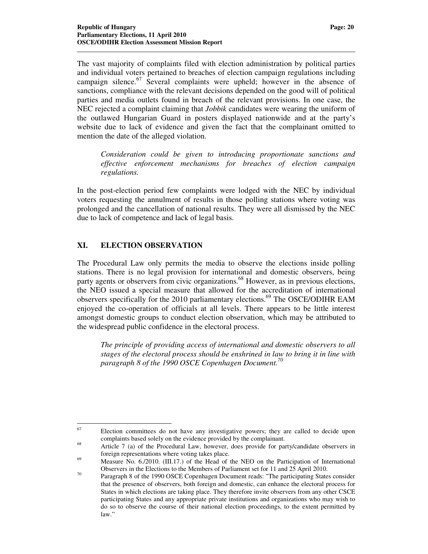The vast majority of complaints filed with election administration by political parties and individual voters pertained to breaches of election campaign regulations including campaign silence.<sup>67</sup> Several complaints were upheld; however in the absence of sanctions, compliance with the relevant decisions depended on the good will of political parties and media outlets found in breach of the relevant provisions. In one case, the NEC rejected a complaint claiming that *Jobbik* candidates were wearing the uniform of the outlawed Hungarian Guard in posters displayed nationwide and at the party's website due to lack of evidence and given the fact that the complainant omitted to mention the date of the alleged violation.

*Consideration could be given to introducing proportionate sanctions and effective enforcement mechanisms for breaches of election campaign regulations.* 

In the post-election period few complaints were lodged with the NEC by individual voters requesting the annulment of results in those polling stations where voting was prolonged and the cancellation of national results. They were all dismissed by the NEC due to lack of competence and lack of legal basis.

#### **XI. ELECTION OBSERVATION**

The Procedural Law only permits the media to observe the elections inside polling stations. There is no legal provision for international and domestic observers, being party agents or observers from civic organizations.<sup>68</sup> However, as in previous elections, the NEO issued a special measure that allowed for the accreditation of international observers specifically for the 2010 parliamentary elections.<sup>69</sup> The OSCE/ODIHR EAM enjoyed the co-operation of officials at all levels. There appears to be little interest amongst domestic groups to conduct election observation, which may be attributed to the widespread public confidence in the electoral process.

*The principle of providing access of international and domestic observers to all stages of the electoral process should be enshrined in law to bring it in line with paragraph 8 of the 1990 OSCE Copenhagen Document.<sup>70</sup>*

<sup>67</sup> Election committees do not have any investigative powers; they are called to decide upon complaints based solely on the evidence provided by the complainant.

<sup>&</sup>lt;sup>68</sup> Article 7 (a) of the Procedural Law, however, does provide for party/candidate observers in foreign representations where voting takes place.

<sup>&</sup>lt;sup>69</sup> Measure No. 6./2010. (III.17.) of the Head of the NEO on the Participation of International Observers in the Elections to the Members of Parliament set for 11 and 25 April 2010.

 $70$  Paragraph 8 of the 1990 OSCE Copenhagen Document reads: "The participating States consider that the presence of observers, both foreign and domestic, can enhance the electoral process for States in which elections are taking place. They therefore invite observers from any other CSCE participating States and any appropriate private institutions and organizations who may wish to do so to observe the course of their national election proceedings, to the extent permitted by law."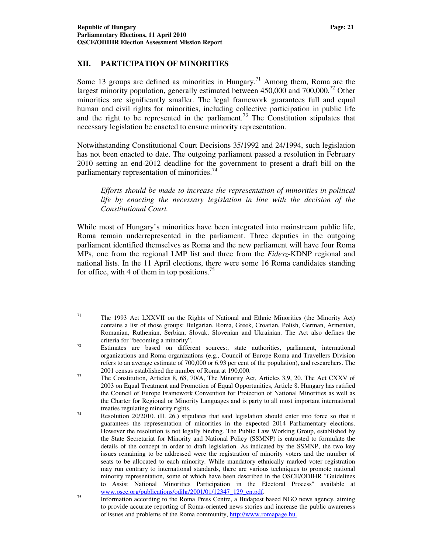#### **XII. PARTICIPATION OF MINORITIES**

Some 13 groups are defined as minorities in Hungary.<sup>71</sup> Among them, Roma are the largest minority population, generally estimated between 450,000 and 700,000.<sup>72</sup> Other minorities are significantly smaller. The legal framework guarantees full and equal human and civil rights for minorities, including collective participation in public life and the right to be represented in the parliament.<sup>73</sup> The Constitution stipulates that necessary legislation be enacted to ensure minority representation.

Notwithstanding Constitutional Court Decisions 35/1992 and 24/1994, such legislation has not been enacted to date. The outgoing parliament passed a resolution in February 2010 setting an end-2012 deadline for the government to present a draft bill on the parliamentary representation of minorities.<sup>74</sup>

*Efforts should be made to increase the representation of minorities in political life by enacting the necessary legislation in line with the decision of the Constitutional Court.* 

While most of Hungary's minorities have been integrated into mainstream public life, Roma remain underrepresented in the parliament. Three deputies in the outgoing parliament identified themselves as Roma and the new parliament will have four Roma MPs, one from the regional LMP list and three from the *Fidesz*-KDNP regional and national lists. In the 11 April elections, there were some 16 Roma candidates standing for office, with 4 of them in top positions.<sup>75</sup>

 $71\,$ <sup>71</sup> The 1993 Act LXXVII on the Rights of National and Ethnic Minorities (the Minority Act) contains a list of those groups: Bulgarian, Roma, Greek, Croatian, Polish, German, Armenian, Romanian, Ruthenian, Serbian, Slovak, Slovenian and Ukrainian. The Act also defines the criteria for "becoming a minority".

<sup>&</sup>lt;sup>72</sup> Estimates are based on different sources:, state authorities, parliament, international organizations and Roma organizations (e.g., Council of Europe Roma and Travellers Division refers to an average estimate of 700,000 or 6.93 per cent of the population), and researchers. The 2001 census established the number of Roma at 190,000.

<sup>73</sup> The Constitution, Articles 8, 68, 70/A, The Minority Act, Articles 3,9, 20. The Act CXXV of 2003 on Equal Treatment and Promotion of Equal Opportunities, Article 8. Hungary has ratified the Council of Europe Framework Convention for Protection of National Minorities as well as the Charter for Regional or Minority Languages and is party to all most important international treaties regulating minority rights.

<sup>74</sup> Resolution 20/2010. (II. 26.) stipulates that said legislation should enter into force so that it guarantees the representation of minorities in the expected 2014 Parliamentary elections. However the resolution is not legally binding. The Public Law Working Group, established by the State Secretariat for Minority and National Policy (SSMNP) is entrusted to formulate the details of the concept in order to draft legislation. As indicated by the SSMNP, the two key issues remaining to be addressed were the registration of minority voters and the number of seats to be allocated to each minority. While mandatory ethnically marked voter registration may run contrary to international standards, there are various techniques to promote national minority representation, some of which have been described in the OSCE/ODIHR "Guidelines to Assist National Minorities Participation in the Electoral Process" available at www.osce.org/publications/odihr/2001/01/12347\_129\_en.pdf.

<sup>&</sup>lt;sup>75</sup> Information according to the Roma Press Centre, a Budapest based NGO news agency, aiming to provide accurate reporting of Roma-oriented news stories and increase the public awareness of issues and problems of the Roma community, http://www.romapage.hu.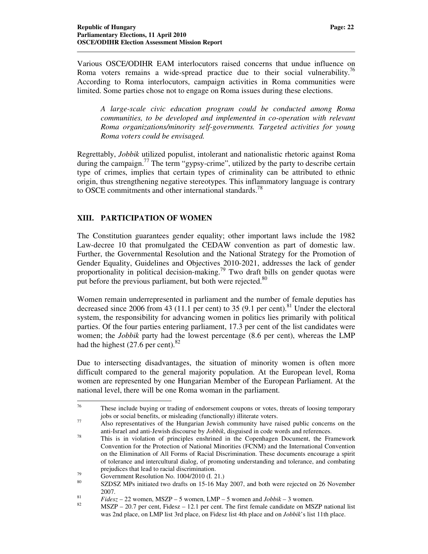Various OSCE/ODIHR EAM interlocutors raised concerns that undue influence on Roma voters remains a wide-spread practice due to their social vulnerability.<sup>76</sup> According to Roma interlocutors, campaign activities in Roma communities were limited. Some parties chose not to engage on Roma issues during these elections.

*A large-scale civic education program could be conducted among Roma communities, to be developed and implemented in co-operation with relevant Roma organizations/minority self-governments. Targeted activities for young Roma voters could be envisaged.*

Regrettably, *Jobbik* utilized populist, intolerant and nationalistic rhetoric against Roma during the campaign.<sup>77</sup> The term "gypsy-crime", utilized by the party to describe certain type of crimes, implies that certain types of criminality can be attributed to ethnic origin, thus strengthening negative stereotypes. This inflammatory language is contrary to OSCE commitments and other international standards.<sup>78</sup>

#### **XIII. PARTICIPATION OF WOMEN**

The Constitution guarantees gender equality; other important laws include the 1982 Law-decree 10 that promulgated the CEDAW convention as part of domestic law. Further, the Governmental Resolution and the National Strategy for the Promotion of Gender Equality, Guidelines and Objectives 2010-2021, addresses the lack of gender proportionality in political decision-making.<sup>79</sup> Two draft bills on gender quotas were put before the previous parliament, but both were rejected.<sup>80</sup>

Women remain underrepresented in parliament and the number of female deputies has decreased since 2006 from 43 (11.1 per cent) to 35 (9.1 per cent).<sup>81</sup> Under the electoral system, the responsibility for advancing women in politics lies primarily with political parties. Of the four parties entering parliament, 17.3 per cent of the list candidates were women; the *Jobbik* party had the lowest percentage (8.6 per cent), whereas the LMP had the highest  $(27.6 \text{ per cent})$ .<sup>82</sup>

Due to intersecting disadvantages, the situation of minority women is often more difficult compared to the general majority population. At the European level, Roma women are represented by one Hungarian Member of the European Parliament. At the national level, there will be one Roma woman in the parliament.

<sup>76</sup> These include buying or trading of endorsement coupons or votes, threats of loosing temporary jobs or social benefits, or misleading (functionally) illiterate voters.

<sup>&</sup>lt;sup>77</sup> Also representatives of the Hungarian Jewish community have raised public concerns on the anti-Israel and anti-Jewish discourse by *Jobbik*, disguised in code words and references.

<sup>78</sup> This is in violation of principles enshrined in the Copenhagen Document, the Framework Convention for the Protection of National Minorities (FCNM) and the International Convention on the Elimination of All Forms of Racial Discrimination. These documents encourage a spirit of tolerance and intercultural dialog, of promoting understanding and tolerance, and combating prejudices that lead to racial discrimination.

 $^{79}$  Government Resolution No. 1004/2010 (I. 21.)

SZDSZ MPs initiated two drafts on 15-16 May 2007, and both were rejected on 26 November 2007.

 $Fidesz - 22$  women, MSZP – 5 women, LMP – 5 women and *Jobbik* – 3 women.

 $MSZP - 20.7$  per cent, Fidesz – 12.1 per cent. The first female candidate on MSZP national list was 2nd place, on LMP list 3rd place, on Fidesz list 4th place and on *Jobbik*'s list 11th place.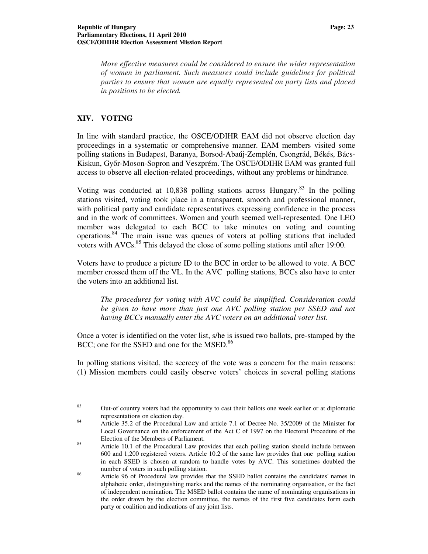*More effective measures could be considered to ensure the wider representation of women in parliament. Such measures could include guidelines for political parties to ensure that women are equally represented on party lists and placed in positions to be elected.* 

#### **XIV. VOTING**

In line with standard practice, the OSCE/ODIHR EAM did not observe election day proceedings in a systematic or comprehensive manner. EAM members visited some polling stations in Budapest, Baranya, Borsod-Abaúj-Zemplén, Csongrád, Békés, Bács-Kiskun, Győr-Moson-Sopron and Veszprém. The OSCE/ODIHR EAM was granted full access to observe all election-related proceedings, without any problems or hindrance.

Voting was conducted at 10,838 polling stations across Hungary.<sup>83</sup> In the polling stations visited, voting took place in a transparent, smooth and professional manner, with political party and candidate representatives expressing confidence in the process and in the work of committees. Women and youth seemed well-represented. One LEO member was delegated to each BCC to take minutes on voting and counting operations.<sup>84</sup> The main issue was queues of voters at polling stations that included voters with  $AVCs$ <sup>85</sup>. This delayed the close of some polling stations until after 19:00.

Voters have to produce a picture ID to the BCC in order to be allowed to vote. A BCC member crossed them off the VL. In the AVC polling stations, BCCs also have to enter the voters into an additional list.

*The procedures for voting with AVC could be simplified. Consideration could be given to have more than just one AVC polling station per SSED and not having BCCs manually enter the AVC voters on an additional voter list.*

Once a voter is identified on the voter list, s/he is issued two ballots, pre-stamped by the BCC; one for the SSED and one for the MSED.<sup>86</sup>

In polling stations visited, the secrecy of the vote was a concern for the main reasons: (1) Mission members could easily observe voters' choices in several polling stations

<sup>83</sup> <sup>83</sup> Out-of country voters had the opportunity to cast their ballots one week earlier or at diplomatic representations on election day.

<sup>&</sup>lt;sup>84</sup> Article 35.2 of the Procedural Law and article 7.1 of Decree No. 35/2009 of the Minister for Local Governance on the enforcement of the Act C of 1997 on the Electoral Procedure of the Election of the Members of Parliament.

<sup>&</sup>lt;sup>85</sup> Article 10.1 of the Procedural Law provides that each polling station should include between 600 and 1,200 registered voters. Article 10.2 of the same law provides that one polling station in each SSED is chosen at random to handle votes by AVC. This sometimes doubled the number of voters in such polling station.

<sup>&</sup>lt;sup>86</sup> Article 96 of Procedural law provides that the SSED ballot contains the candidates' names in alphabetic order, distinguishing marks and the names of the nominating organisation, or the fact of independent nomination. The MSED ballot contains the name of nominating organisations in the order drawn by the election committee, the names of the first five candidates form each party or coalition and indications of any joint lists.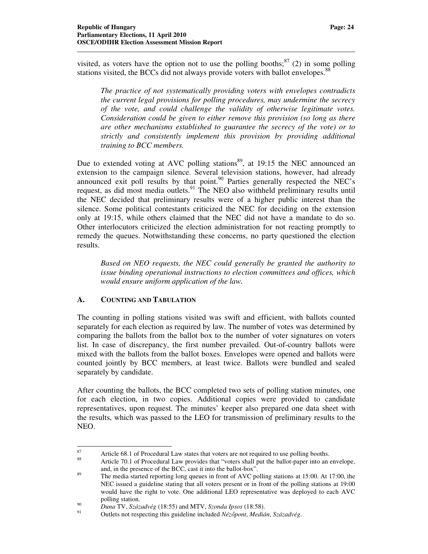visited, as voters have the option not to use the polling booths; $^{87}$  (2) in some polling stations visited, the BCCs did not always provide voters with ballot envelopes.<sup>88</sup>

*The practice of not systematically providing voters with envelopes contradicts the current legal provisions for polling procedures, may undermine the secrecy of the vote, and could challenge the validity of otherwise legitimate votes. Consideration could be given to either remove this provision (so long as there are other mechanisms established to guarantee the secrecy of the vote) or to strictly and consistently implement this provision by providing additional training to BCC members.* 

Due to extended voting at AVC polling stations<sup>89</sup>, at 19:15 the NEC announced an extension to the campaign silence. Several television stations, however, had already announced exit poll results by that point. $90$  Parties generally respected the NEC's request, as did most media outlets.<sup>91</sup> The NEO also withheld preliminary results until the NEC decided that preliminary results were of a higher public interest than the silence. Some political contestants criticized the NEC for deciding on the extension only at 19:15, while others claimed that the NEC did not have a mandate to do so. Other interlocutors criticized the election administration for not reacting promptly to remedy the queues. Notwithstanding these concerns, no party questioned the election results.

*Based on NEO requests, the NEC could generally be granted the authority to issue binding operational instructions to election committees and offices, which would ensure uniform application of the law.* 

#### **A. COUNTING AND TABULATION**

 $\overline{a}$ 

The counting in polling stations visited was swift and efficient, with ballots counted separately for each election as required by law. The number of votes was determined by comparing the ballots from the ballot box to the number of voter signatures on voters list. In case of discrepancy, the first number prevailed. Out-of-country ballots were mixed with the ballots from the ballot boxes. Envelopes were opened and ballots were counted jointly by BCC members, at least twice. Ballots were bundled and sealed separately by candidate.

After counting the ballots, the BCC completed two sets of polling station minutes, one for each election, in two copies. Additional copies were provided to candidate representatives, upon request. The minutes' keeper also prepared one data sheet with the results, which was passed to the LEO for transmission of preliminary results to the NEO.

<sup>87</sup> Article 68.1 of Procedural Law states that voters are not required to use polling booths.

<sup>88</sup> Article 70.1 of Procedural Law provides that "voters shall put the ballot-paper into an envelope, and, in the presence of the BCC, cast it into the ballot-box".

<sup>&</sup>lt;sup>89</sup> The media started reporting long queues in front of AVC polling stations at 15:00. At 17:00, the NEC issued a guideline stating that all voters present or in front of the polling stations at 19:00 would have the right to vote. One additional LEO representative was deployed to each AVC polling station.

<sup>90</sup> *Duna* TV, *Századvég* (18:55) and MTV, *Szonda Ipsos* (18:58).

<sup>91</sup> Outlets not respecting this guideline included *Néz*ő*pont*, *Medián*, *Századvég*.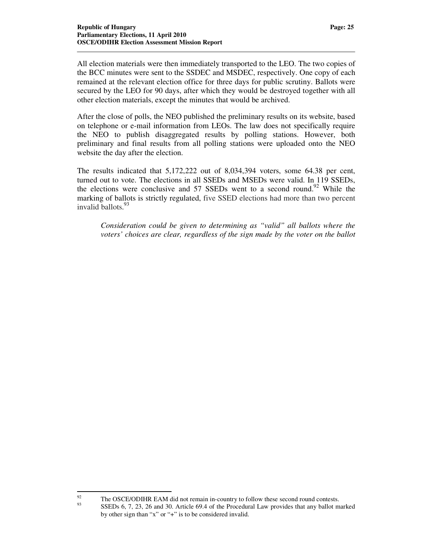All election materials were then immediately transported to the LEO. The two copies of the BCC minutes were sent to the SSDEC and MSDEC, respectively. One copy of each remained at the relevant election office for three days for public scrutiny. Ballots were secured by the LEO for 90 days, after which they would be destroyed together with all other election materials, except the minutes that would be archived.

After the close of polls, the NEO published the preliminary results on its website, based on telephone or e-mail information from LEOs. The law does not specifically require the NEO to publish disaggregated results by polling stations. However, both preliminary and final results from all polling stations were uploaded onto the NEO website the day after the election.

The results indicated that 5,172,222 out of 8,034,394 voters, some 64.38 per cent, turned out to vote. The elections in all SSEDs and MSEDs were valid. In 119 SSEDs, the elections were conclusive and 57 SSEDs went to a second round.<sup>92</sup> While the marking of ballots is strictly regulated, five SSED elections had more than two percent invalid ballots. 93

*Consideration could be given to determining as "valid" all ballots where the voters' choices are clear, regardless of the sign made by the voter on the ballot*

<sup>92</sup> <sup>92</sup> The OSCE/ODIHR EAM did not remain in-country to follow these second round contests. <sup>93</sup> SSEDs 6, 7, 23, 26 and 30. Article 69.4 of the Procedural Law provides that any ballot marked by other sign than "x" or "+" is to be considered invalid.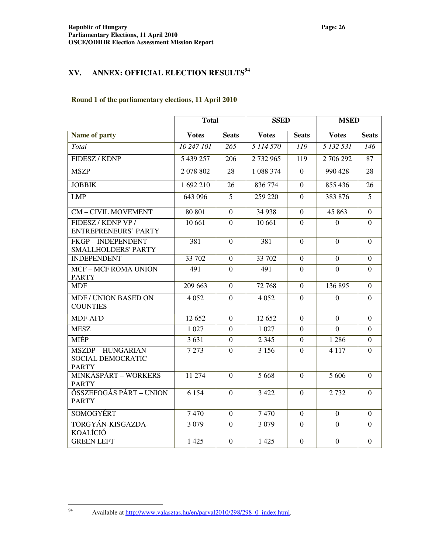# **XV. ANNEX: OFFICIAL ELECTION RESULTS<sup>94</sup>**

#### **Round 1 of the parliamentary elections, 11 April 2010**

|                                                               | <b>Total</b> |                  | <b>SSED</b>  |                  | <b>MSED</b>    |                  |
|---------------------------------------------------------------|--------------|------------------|--------------|------------------|----------------|------------------|
| Name of party                                                 | <b>Votes</b> | <b>Seats</b>     | <b>Votes</b> | <b>Seats</b>     | <b>Votes</b>   | <b>Seats</b>     |
| Total                                                         | 10 247 101   | 265              | 5 114 570    | 119              | 5 132 531      | 146              |
| FIDESZ / KDNP                                                 | 5 439 257    | 206              | 2 732 965    | 119              | 2 706 292      | 87               |
| <b>MSZP</b>                                                   | 2 078 802    | 28               | 1 088 374    | $\theta$         | 990 428        | 28               |
| <b>JOBBIK</b>                                                 | 1 692 210    | 26               | 836 774      | $\overline{0}$   | 855 436        | 26               |
| <b>LMP</b>                                                    | 643 096      | 5                | 259 220      | $\overline{0}$   | 383 876        | 5                |
| <b>CM-CIVIL MOVEMENT</b>                                      | 80 801       | $\Omega$         | 34 938       | $\boldsymbol{0}$ | 45 863         | $\overline{0}$   |
| FIDESZ / KDNP VP /<br><b>ENTREPRENEURS' PARTY</b>             | 10 661       | $\mathbf{0}$     | 10 661       | $\overline{0}$   | $\overline{0}$ | $\theta$         |
| <b>FKGP-INDEPENDENT</b><br><b>SMALLHOLDERS' PARTY</b>         | 381          | $\mathbf{0}$     | 381          | $\overline{0}$   | $\overline{0}$ | $\overline{0}$   |
| <b>INDEPENDENT</b>                                            | 33 702       | $\overline{0}$   | 33 702       | $\overline{0}$   | $\overline{0}$ | $\Omega$         |
| <b>MCF-MCF ROMA UNION</b><br><b>PARTY</b>                     | 491          | $\Omega$         | 491          | $\overline{0}$   | $\overline{0}$ | $\Omega$         |
| <b>MDF</b>                                                    | 209 663      | $\overline{0}$   | 72 768       | $\boldsymbol{0}$ | 136 895        | $\overline{0}$   |
| <b>MDF / UNION BASED ON</b><br><b>COUNTIES</b>                | 4 0 5 2      | $\theta$         | 4 0 5 2      | $\theta$         | $\theta$       | $\overline{0}$   |
| <b>MDF-AFD</b>                                                | 12 652       | $\mathbf{0}$     | 12 652       | $\overline{0}$   | $\overline{0}$ | $\overline{0}$   |
| <b>MESZ</b>                                                   | 1 0 27       | $\boldsymbol{0}$ | 1 0 27       | $\overline{0}$   | $\theta$       | $\boldsymbol{0}$ |
| <b>MIÉP</b>                                                   | 3631         | $\mathbf{0}$     | 2 3 4 5      | $\overline{0}$   | 1 2 8 6        | $\overline{0}$   |
| <b>MSZDP - HUNGARIAN</b><br>SOCIAL DEMOCRATIC<br><b>PARTY</b> | 7 2 7 3      | $\Omega$         | 3 1 5 6      | $\Omega$         | 4 1 1 7        | $\Omega$         |
| MINKÁSPÁRT – WORKERS<br><b>PARTY</b>                          | 11 274       | $\Omega$         | 5 6 6 8      | $\Omega$         | 5 606          | $\Omega$         |
| ÖSSZEFOGÁS PÁRT – UNION<br><b>PARTY</b>                       | 6 1 5 4      | $\mathbf{0}$     | 3 4 2 2      | $\overline{0}$   | 2732           | $\theta$         |
| <b>SOMOGYERT</b>                                              | 7470         | $\overline{0}$   | 7470         | $\overline{0}$   | $\overline{0}$ | $\Omega$         |
| TORGYÁN-KISGAZDA-<br>KOALÍCIÓ                                 | 3 0 7 9      | $\overline{0}$   | 3 0 7 9      | $\overline{0}$   | $\overline{0}$ | $\overline{0}$   |
| <b>GREEN LEFT</b>                                             | 1 4 2 5      | $\mathbf{0}$     | 1 4 2 5      | $\overline{0}$   | $\overline{0}$ | $\overline{0}$   |

 $94\,$ 

Available at http://www.valasztas.hu/en/parval2010/298/298\_0\_index.html.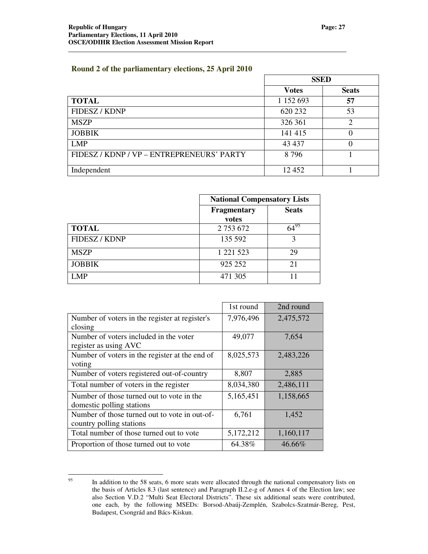#### **Round 2 of the parliamentary elections, 25 April 2010**

|                                           | <b>SSED</b>  |                |
|-------------------------------------------|--------------|----------------|
|                                           | <b>Votes</b> | <b>Seats</b>   |
| <b>TOTAL</b>                              | 1 152 693    | 57             |
| FIDESZ / KDNP                             | 620 232      | 53             |
| <b>MSZP</b>                               | 326 361      | $\overline{2}$ |
| <b>JOBBIK</b>                             | 141 415      |                |
| <b>LMP</b>                                | 43 4 37      |                |
| FIDESZ / KDNP / VP – ENTREPRENEURS' PARTY | 8796         |                |
| Independent                               | 12 452       |                |

|               | <b>National Compensatory Lists</b> |              |
|---------------|------------------------------------|--------------|
|               | <b>Fragmentary</b><br>votes        | <b>Seats</b> |
| <b>TOTAL</b>  | 2 753 672                          |              |
| FIDESZ / KDNP | 135 592                            | 3            |
| <b>MSZP</b>   | 1 221 523                          | 29           |
| <b>JOBBIK</b> | 925 252                            | 21           |
| LMP           | 471 305                            |              |

|                                                | 1st round | 2nd round |
|------------------------------------------------|-----------|-----------|
| Number of voters in the register at register's | 7,976,496 | 2,475,572 |
| closing                                        |           |           |
| Number of voters included in the voter         | 49,077    | 7,654     |
| register as using AVC                          |           |           |
| Number of voters in the register at the end of | 8,025,573 | 2,483,226 |
| voting                                         |           |           |
| Number of voters registered out-of-country     | 8,807     | 2,885     |
| Total number of voters in the register         | 8,034,380 | 2,486,111 |
| Number of those turned out to vote in the      | 5,165,451 | 1,158,665 |
| domestic polling stations                      |           |           |
| Number of those turned out to vote in out-of-  | 6,761     | 1,452     |
| country polling stations                       |           |           |
| Total number of those turned out to vote       | 5,172,212 | 1,160,117 |
| Proportion of those turned out to vote         | 64.38%    | 46.66%    |

<sup>95</sup> In addition to the 58 seats, 6 more seats were allocated through the national compensatory lists on the basis of Articles 8.3 (last sentence) and Paragraph II.2.e-g of Annex 4 of the Election law; see also Section V.D.2 "Multi Seat Electoral Districts". These six additional seats were contributed, one each, by the following MSEDs: Borsod-Abaúj-Zemplén, Szabolcs-Szatmár-Bereg, Pest, Budapest, Csongrád and Bács-Kiskun.